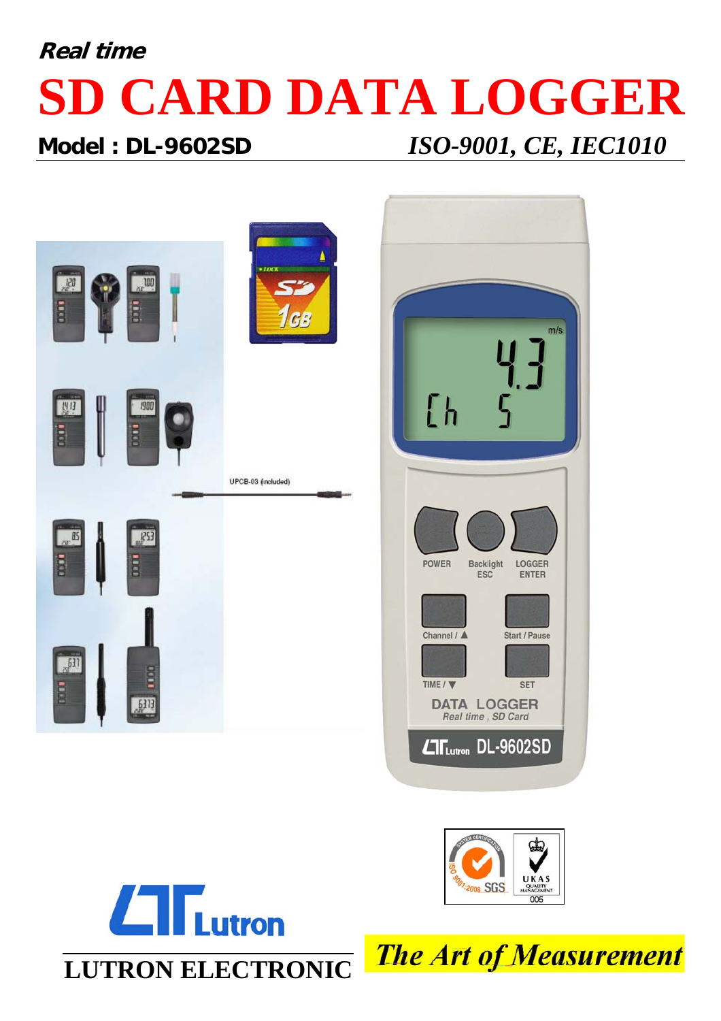# **Real time SD CARD DATA LOGGER**

### **Model : DL-9602SD** *ISO-9001, CE, IEC1010*



**LUTRON ELECTRONIC**

 $L$ T $L$ utron



**The Art of Measurement**